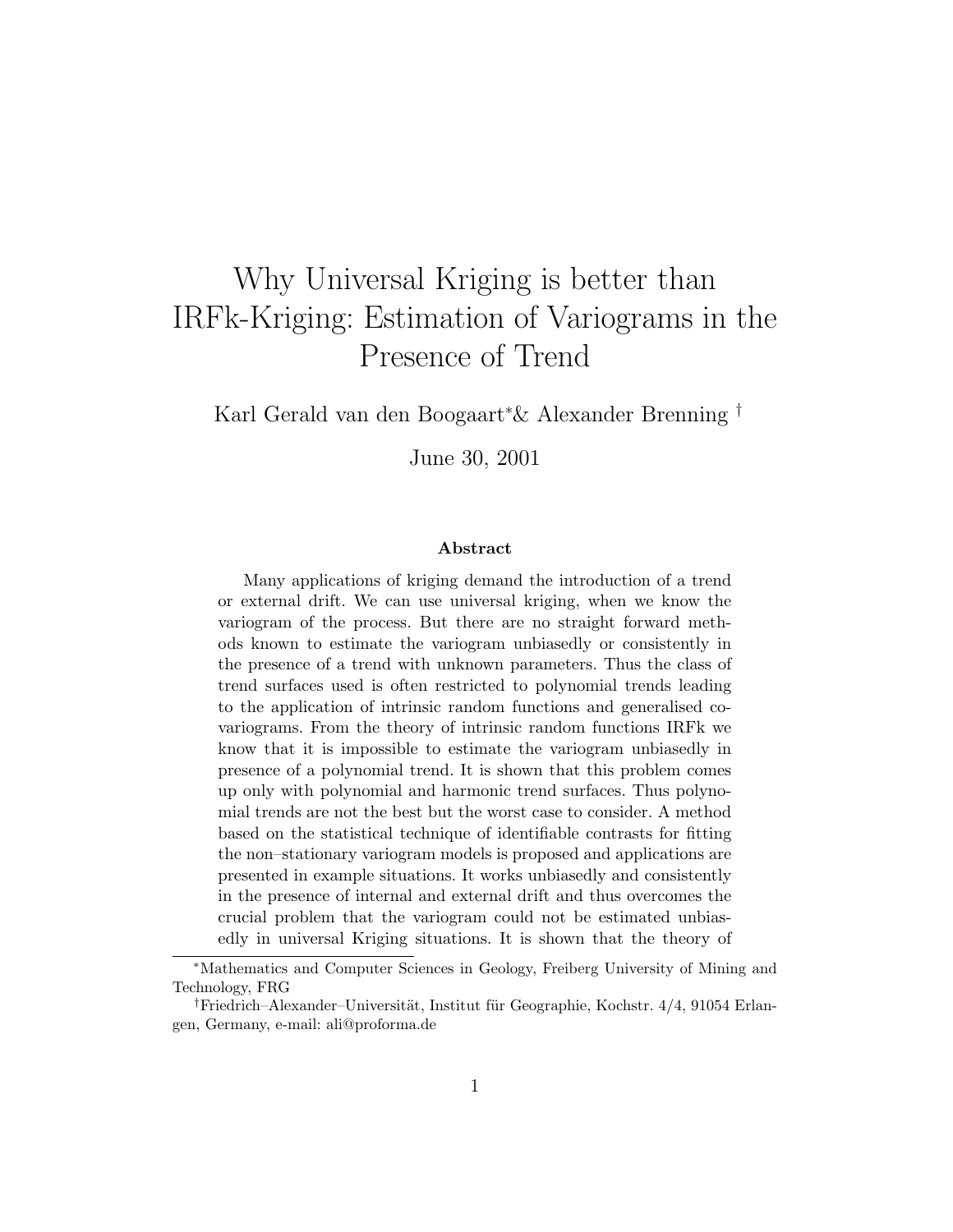# Why Universal Kriging is better than IRFk-Kriging: Estimation of Variograms in the Presence of Trend

Karl Gerald van den Boogaart<sup>∗</sup>& Alexander Brenning †

June 30, 2001

#### Abstract

Many applications of kriging demand the introduction of a trend or external drift. We can use universal kriging, when we know the variogram of the process. But there are no straight forward methods known to estimate the variogram unbiasedly or consistently in the presence of a trend with unknown parameters. Thus the class of trend surfaces used is often restricted to polynomial trends leading to the application of intrinsic random functions and generalised covariograms. From the theory of intrinsic random functions IRFk we know that it is impossible to estimate the variogram unbiasedly in presence of a polynomial trend. It is shown that this problem comes up only with polynomial and harmonic trend surfaces. Thus polynomial trends are not the best but the worst case to consider. A method based on the statistical technique of identifiable contrasts for fitting the non–stationary variogram models is proposed and applications are presented in example situations. It works unbiasedly and consistently in the presence of internal and external drift and thus overcomes the crucial problem that the variogram could not be estimated unbiasedly in universal Kriging situations. It is shown that the theory of

<sup>∗</sup>Mathematics and Computer Sciences in Geology, Freiberg University of Mining and Technology, FRG

<sup>&</sup>lt;sup>†</sup>Friedrich–Alexander–Universität, Institut für Geographie, Kochstr.  $4/4$ , 91054 Erlangen, Germany, e-mail: ali@proforma.de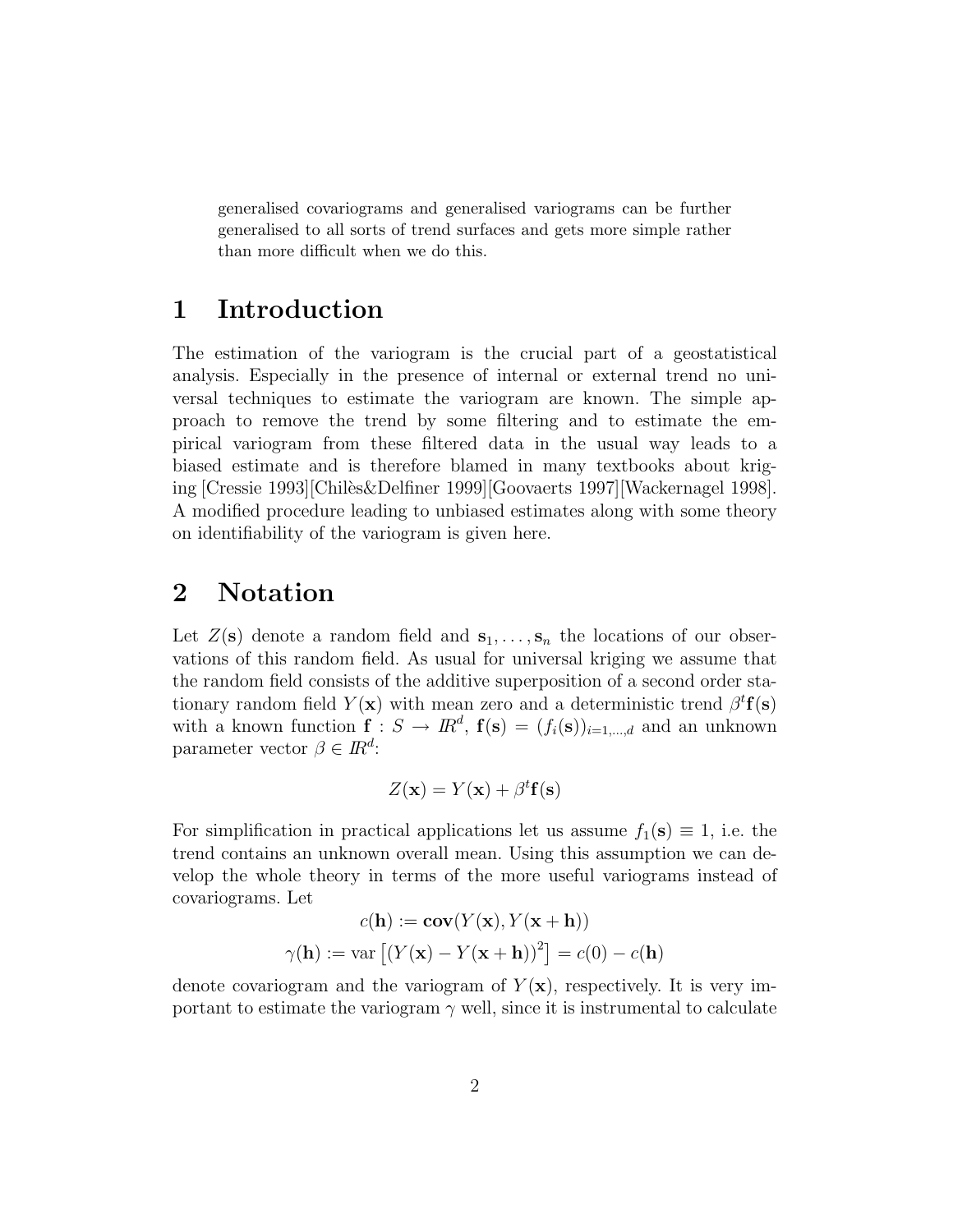generalised covariograms and generalised variograms can be further generalised to all sorts of trend surfaces and gets more simple rather than more difficult when we do this.

### 1 Introduction

The estimation of the variogram is the crucial part of a geostatistical analysis. Especially in the presence of internal or external trend no universal techniques to estimate the variogram are known. The simple approach to remove the trend by some filtering and to estimate the empirical variogram from these filtered data in the usual way leads to a biased estimate and is therefore blamed in many textbooks about kriging [Cressie 1993][Chil`es&Delfiner 1999][Goovaerts 1997][Wackernagel 1998]. A modified procedure leading to unbiased estimates along with some theory on identifiability of the variogram is given here.

### 2 Notation

Let  $Z(\mathbf{s})$  denote a random field and  $\mathbf{s}_1, \ldots, \mathbf{s}_n$  the locations of our observations of this random field. As usual for universal kriging we assume that the random field consists of the additive superposition of a second order stationary random field  $Y(x)$  with mean zero and a deterministic trend  $\beta^t f(s)$ with a known function  $\mathbf{f}: S \to \mathbb{R}^d$ ,  $\mathbf{f}(\mathbf{s}) = (f_i(\mathbf{s}))_{i=1,\dots,d}$  and an unknown parameter vector  $\beta \in \mathbb{R}^d$ :

$$
Z(\mathbf{x}) = Y(\mathbf{x}) + \beta^t \mathbf{f}(\mathbf{s})
$$

For simplification in practical applications let us assume  $f_1(\mathbf{s}) \equiv 1$ , i.e. the trend contains an unknown overall mean. Using this assumption we can develop the whole theory in terms of the more useful variograms instead of covariograms. Let

$$
c(\mathbf{h}) := \mathbf{cov}(Y(\mathbf{x}), Y(\mathbf{x} + \mathbf{h}))
$$

$$
\gamma(\mathbf{h}) := \text{var}\left[ (Y(\mathbf{x}) - Y(\mathbf{x} + \mathbf{h}))^{2} \right] = c(0) - c(\mathbf{h})
$$

denote covariogram and the variogram of  $Y(\mathbf{x})$ , respectively. It is very important to estimate the variogram  $\gamma$  well, since it is instrumental to calculate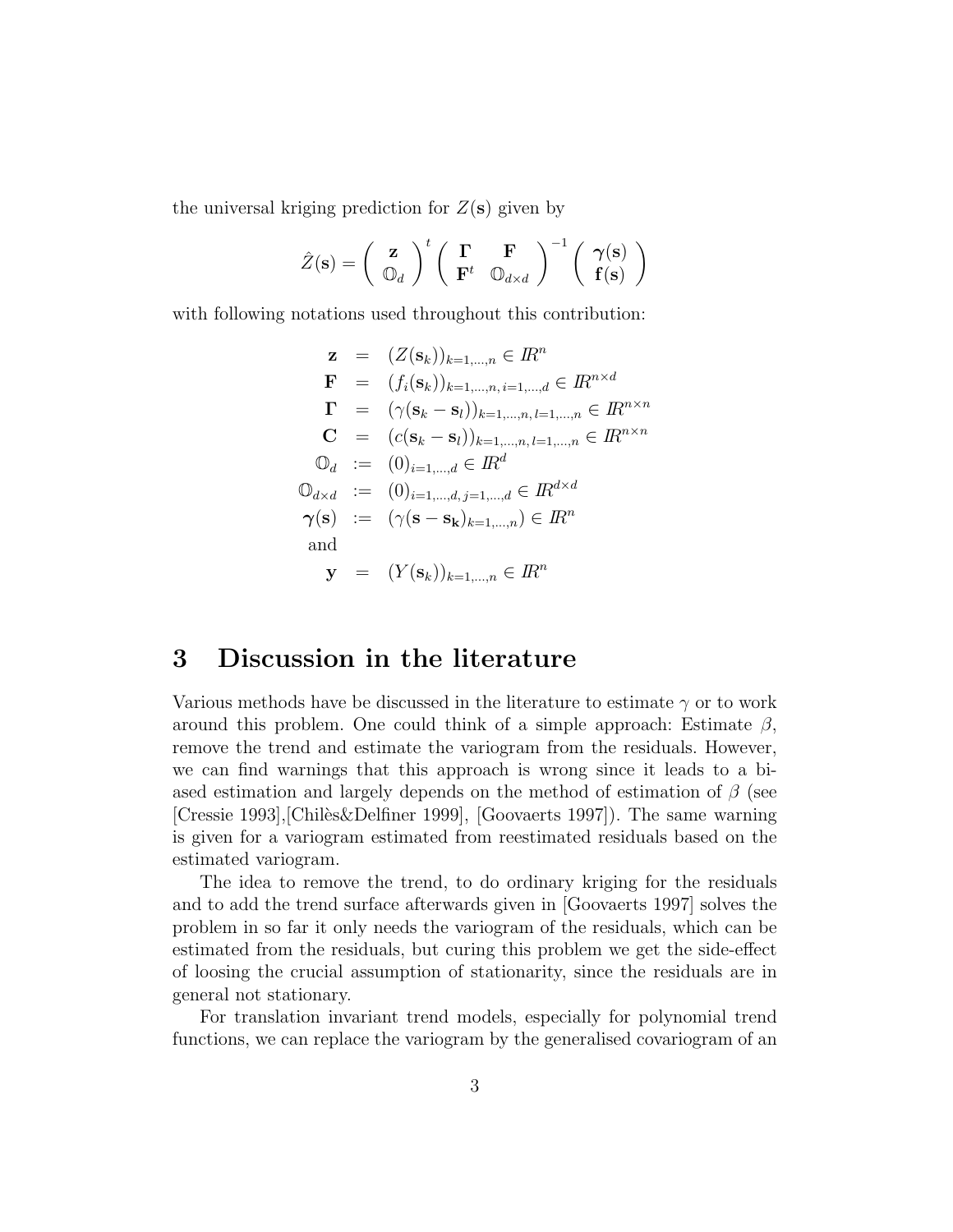the universal kriging prediction for  $Z(\mathbf{s})$  given by

$$
\hat{Z}(\mathbf{s}) = \left(\begin{array}{c} \mathbf{z} \\ \mathbb{O}_d \end{array}\right)^t \left(\begin{array}{cc} \boldsymbol{\Gamma} & \boldsymbol{\mathrm{F}} \\ \boldsymbol{\mathrm{F}}^t & \mathbb{O}_{d \times d} \end{array}\right)^{-1} \left(\begin{array}{c} \boldsymbol{\gamma}(\mathbf{s}) \\ \mathbf{f}(\mathbf{s}) \end{array}\right)
$$

with following notations used throughout this contribution:

$$
\mathbf{z} = (Z(\mathbf{s}_k))_{k=1,\dots,n} \in \mathbb{R}^n
$$
  
\n
$$
\mathbf{F} = (f_i(\mathbf{s}_k))_{k=1,\dots,n, i=1,\dots,d} \in \mathbb{R}^{n \times d}
$$
  
\n
$$
\mathbf{\Gamma} = (\gamma(\mathbf{s}_k - \mathbf{s}_l))_{k=1,\dots,n, l=1,\dots,n} \in \mathbb{R}^{n \times n}
$$
  
\n
$$
\mathbf{C} = (c(\mathbf{s}_k - \mathbf{s}_l))_{k=1,\dots,n, l=1,\dots,n} \in \mathbb{R}^{n \times n}
$$
  
\n
$$
\mathbb{O}_d := (0)_{i=1,\dots,d} \in \mathbb{R}^d
$$
  
\n
$$
\mathbb{O}_{d \times d} := (0)_{i=1,\dots,d, j=1,\dots,d} \in \mathbb{R}^{d \times d}
$$
  
\n
$$
\gamma(\mathbf{s}) := (\gamma(\mathbf{s} - \mathbf{s}_\mathbf{k})_{k=1,\dots,n}) \in \mathbb{R}^n
$$
  
\nand  
\n
$$
\mathbf{y} = (Y(\mathbf{s}_k))_{k=1,\dots,n} \in \mathbb{R}^n
$$

### 3 Discussion in the literature

Various methods have be discussed in the literature to estimate  $\gamma$  or to work around this problem. One could think of a simple approach: Estimate  $\beta$ , remove the trend and estimate the variogram from the residuals. However, we can find warnings that this approach is wrong since it leads to a biased estimation and largely depends on the method of estimation of  $\beta$  (see [Cressie 1993], [Chiles & Delfiner 1999], [Goovaerts 1997]). The same warning is given for a variogram estimated from reestimated residuals based on the estimated variogram.

The idea to remove the trend, to do ordinary kriging for the residuals and to add the trend surface afterwards given in [Goovaerts 1997] solves the problem in so far it only needs the variogram of the residuals, which can be estimated from the residuals, but curing this problem we get the side-effect of loosing the crucial assumption of stationarity, since the residuals are in general not stationary.

For translation invariant trend models, especially for polynomial trend functions, we can replace the variogram by the generalised covariogram of an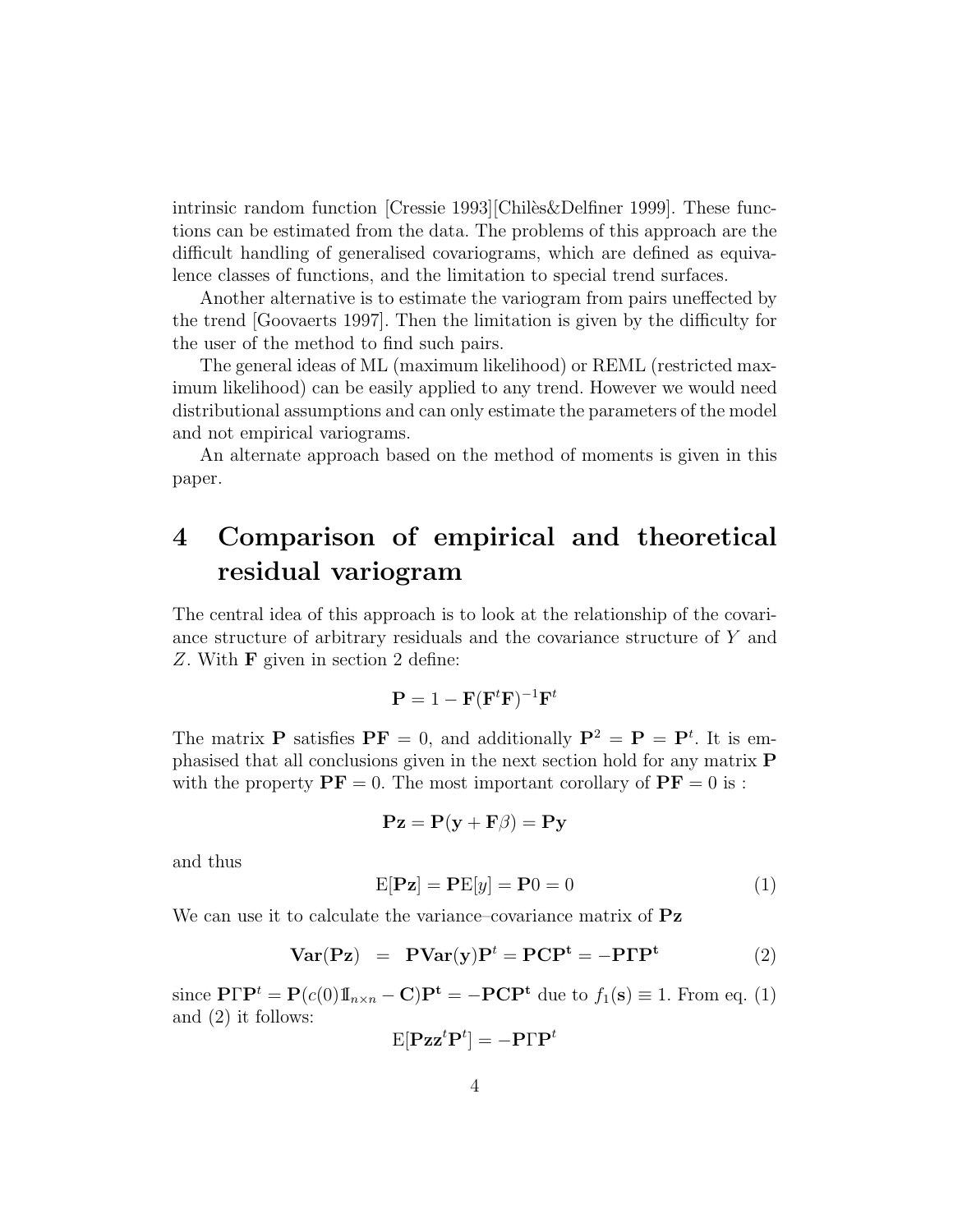intrinsic random function  $\text{[Cressie 1993]}$  $\text{[Chilès}\&\text{Delfiner 1999]}$ . These functions can be estimated from the data. The problems of this approach are the difficult handling of generalised covariograms, which are defined as equivalence classes of functions, and the limitation to special trend surfaces.

Another alternative is to estimate the variogram from pairs uneffected by the trend [Goovaerts 1997]. Then the limitation is given by the difficulty for the user of the method to find such pairs.

The general ideas of ML (maximum likelihood) or REML (restricted maximum likelihood) can be easily applied to any trend. However we would need distributional assumptions and can only estimate the parameters of the model and not empirical variograms.

An alternate approach based on the method of moments is given in this paper.

### 4 Comparison of empirical and theoretical residual variogram

The central idea of this approach is to look at the relationship of the covariance structure of arbitrary residuals and the covariance structure of Y and Z. With F given in section 2 define:

$$
\mathbf{P} = 1 - \mathbf{F}(\mathbf{F}^t \mathbf{F})^{-1} \mathbf{F}^t
$$

The matrix **P** satisfies  $PF = 0$ , and additionally  $P^2 = P = P^t$ . It is emphasised that all conclusions given in the next section hold for any matrix P with the property  $\mathbf{PF} = 0$ . The most important corollary of  $\mathbf{PF} = 0$  is :

$$
\mathbf{Pz} = \mathbf{P}(\mathbf{y} + \mathbf{F}\beta) = \mathbf{Py}
$$

and thus

$$
E[\mathbf{P} \mathbf{z}] = \mathbf{P} E[y] = \mathbf{P} 0 = 0 \tag{1}
$$

We can use it to calculate the variance–covariance matrix of  $Pz$ 

$$
Var(Pz) = PVar(y)Pt = PCPt = -PTPt
$$
 (2)

since  $\mathbf{P}\Gamma\mathbf{P}^t = \mathbf{P}(c(0)\mathbb{I}_{n\times n} - \mathbf{C})\mathbf{P}^t = -\mathbf{P}\mathbf{C}\mathbf{P}^t$  due to  $f_1(\mathbf{s}) \equiv 1$ . From eq. (1) and (2) it follows:

$$
\mathrm{E}[{\mathbf{P}\mathbf{z}\mathbf{z}^t\mathbf{P}^t}] = -\mathbf{P}\Gamma\mathbf{P}^t
$$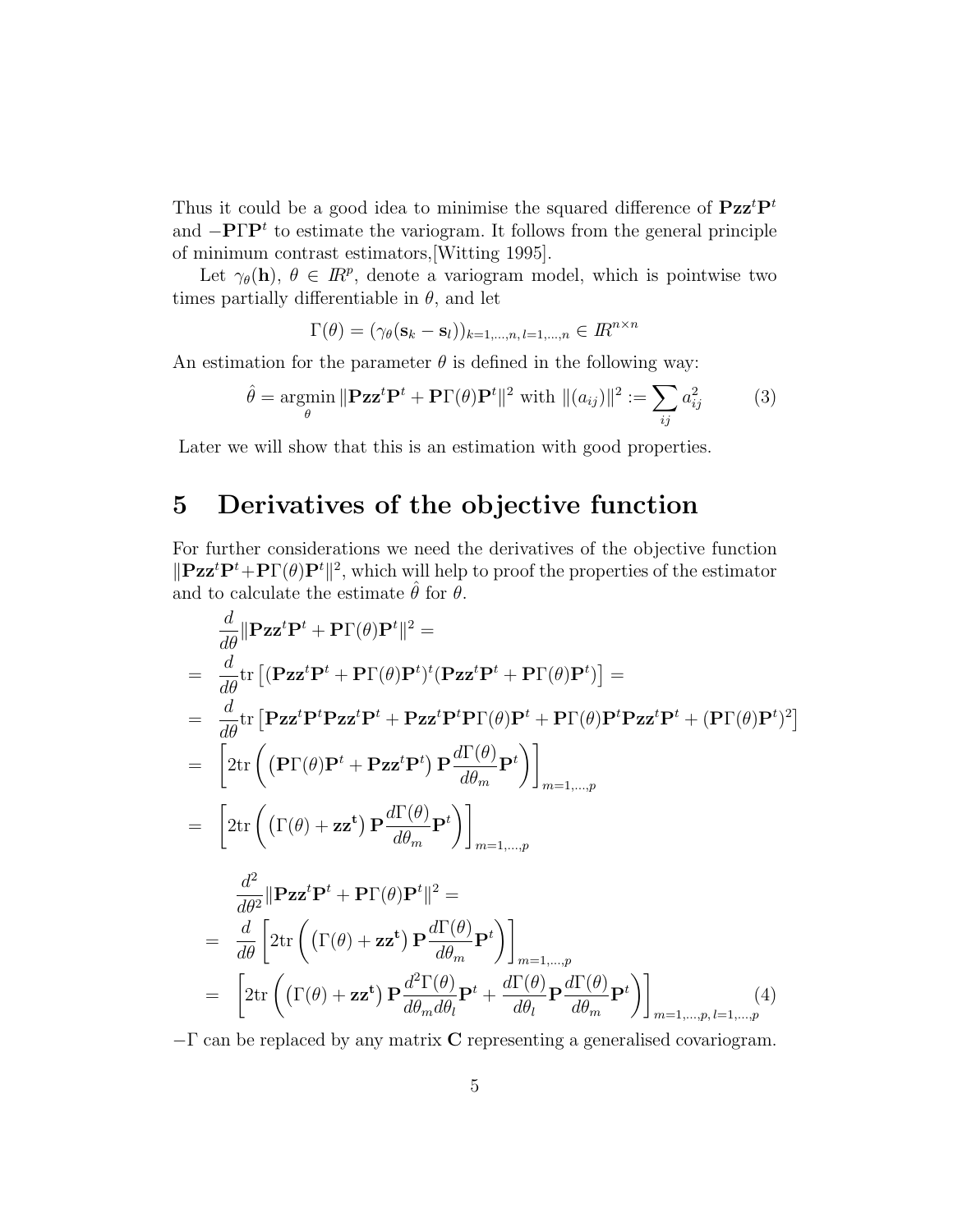Thus it could be a good idea to minimise the squared difference of  $Pzz^tP^t$ and  $-{\bf P}\Gamma {\bf P}^t$  to estimate the variogram. It follows from the general principle of minimum contrast estimators,[Witting 1995].

Let  $\gamma_{\theta}(\mathbf{h}), \theta \in \mathbb{R}^p$ , denote a variogram model, which is pointwise two times partially differentiable in  $\theta$ , and let

$$
\Gamma(\theta) = (\gamma_{\theta}(\mathbf{s}_k - \mathbf{s}_l))_{k=1,\dots,n, l=1,\dots,n} \in I\!R^{n \times n}
$$

An estimation for the parameter  $\theta$  is defined in the following way:

$$
\hat{\theta} = \underset{\theta}{\text{argmin}} \|\mathbf{Pzz}^t \mathbf{P}^t + \mathbf{P}\Gamma(\theta)\mathbf{P}^t\|^2 \text{ with } \|(a_{ij})\|^2 := \sum_{ij} a_{ij}^2 \tag{3}
$$

Later we will show that this is an estimation with good properties.

### 5 Derivatives of the objective function

For further considerations we need the derivatives of the objective function  $\|\mathbf{P}\mathbf{z}\mathbf{z}^t\mathbf{P}^t + \mathbf{P}\Gamma(\theta)\mathbf{P}^t\|^2$ , which will help to proof the properties of the estimator and to calculate the estimate  $\hat{\theta}$  for  $\theta$ .

$$
\frac{d}{d\theta} \|\mathbf{P} \mathbf{z} \mathbf{z}^{t} \mathbf{P}^{t} + \mathbf{P} \Gamma(\theta) \mathbf{P}^{t} \|^{2} =
$$
\n
$$
= \frac{d}{d\theta} \text{tr} \left[ (\mathbf{P} \mathbf{z} \mathbf{z}^{t} \mathbf{P}^{t} + \mathbf{P} \Gamma(\theta) \mathbf{P}^{t})^{t} (\mathbf{P} \mathbf{z} \mathbf{z}^{t} \mathbf{P}^{t} + \mathbf{P} \Gamma(\theta) \mathbf{P}^{t}) \right] =
$$
\n
$$
= \frac{d}{d\theta} \text{tr} \left[ \mathbf{P} \mathbf{z} \mathbf{z}^{t} \mathbf{P}^{t} \mathbf{P} \mathbf{z} \mathbf{z}^{t} \mathbf{P}^{t} + \mathbf{P} \mathbf{z} \mathbf{z}^{t} \mathbf{P}^{t} \mathbf{P} \Gamma(\theta) \mathbf{P}^{t} + \mathbf{P} \Gamma(\theta) \mathbf{P}^{t} \mathbf{P} \mathbf{z} \mathbf{z}^{t} \mathbf{P}^{t} + (\mathbf{P} \Gamma(\theta) \mathbf{P}^{t})^{2} \right]
$$
\n
$$
= \left[ 2 \text{tr} \left( (\mathbf{P} \Gamma(\theta) \mathbf{P}^{t} + \mathbf{P} \mathbf{z} \mathbf{z}^{t} \mathbf{P}^{t}) \mathbf{P} \frac{d\Gamma(\theta)}{d\theta_{m}} \mathbf{P}^{t} \right) \right]_{m=1,...,p}
$$
\n
$$
= \frac{d^{2}}{d\theta^{2}} \|\mathbf{P} \mathbf{z} \mathbf{z}^{t} \mathbf{P}^{t} + \mathbf{P} \Gamma(\theta) \mathbf{P}^{t} \|^2 =
$$
\n
$$
= \frac{d}{d\theta} \left[ 2 \text{tr} \left( (\Gamma(\theta) + \mathbf{z} \mathbf{z}^{t}) \mathbf{P} \frac{d\Gamma(\theta)}{d\theta_{m}} \mathbf{P}^{t} \right) \right]_{m=1,...,p}
$$
\n
$$
= \left[ 2 \text{tr} \left( (\Gamma(\theta) + \mathbf{z} \mathbf{z}^{
$$

−Γ can be replaced by any matrix C representing a generalised covariogram.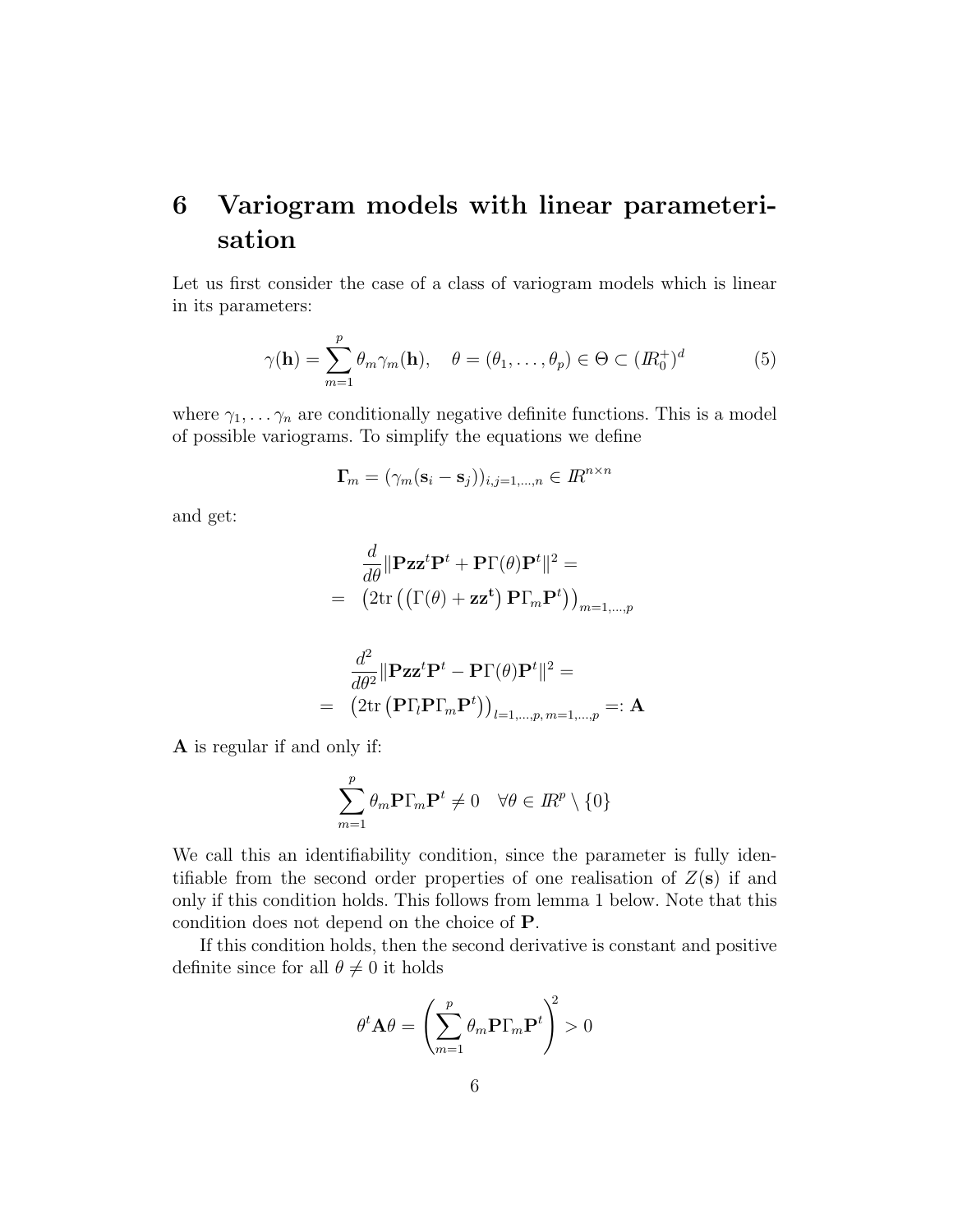### 6 Variogram models with linear parameterisation

Let us first consider the case of a class of variogram models which is linear in its parameters:

$$
\gamma(\mathbf{h}) = \sum_{m=1}^{p} \theta_m \gamma_m(\mathbf{h}), \quad \theta = (\theta_1, \dots, \theta_p) \in \Theta \subset (I\!R_0^+)^d \tag{5}
$$

where  $\gamma_1, \ldots, \gamma_n$  are conditionally negative definite functions. This is a model of possible variograms. To simplify the equations we define

$$
\mathbf{\Gamma}_m = (\gamma_m (\mathbf{s}_i - \mathbf{s}_j))_{i,j=1,\dots,n} \in I\!R^{n \times n}
$$

and get:

$$
\frac{d}{d\theta} \|\mathbf{P} \mathbf{z} \mathbf{z}^t \mathbf{P}^t + \mathbf{P} \Gamma(\theta) \mathbf{P}^t \|^2 =
$$
\n
$$
= (2 \text{tr} \left( \left( \Gamma(\theta) + \mathbf{z} \mathbf{z}^t \right) \mathbf{P} \Gamma_m \mathbf{P}^t \right) \right)_{m=1,\dots,p}
$$
\n
$$
d^2 \lim_{n \to \infty} t \mathbf{P}^t \left( \mathbf{P} \mathbf{P}^t \right)^2
$$

$$
\frac{d}{d\theta^2} \|\mathbf{P} \mathbf{z} \mathbf{z}^t \mathbf{P}^t - \mathbf{P} \Gamma(\theta) \mathbf{P}^t \|^2 =
$$
\n
$$
= (2 \text{tr } (\mathbf{P} \Gamma_l \mathbf{P} \Gamma_m \mathbf{P}^t))_{l=1,\dots,p, m=1,\dots,p} =: \mathbf{A}
$$

A is regular if and only if:

$$
\sum_{m=1}^{p} \theta_m \mathbf{P} \Gamma_m \mathbf{P}^t \neq 0 \quad \forall \theta \in \mathbb{R}^p \setminus \{0\}
$$

We call this an identifiability condition, since the parameter is fully identifiable from the second order properties of one realisation of  $Z(\mathbf{s})$  if and only if this condition holds. This follows from lemma 1 below. Note that this condition does not depend on the choice of P.

If this condition holds, then the second derivative is constant and positive definite since for all  $\theta \neq 0$  it holds

$$
\theta^t \mathbf{A} \theta = \left(\sum_{m=1}^p \theta_m \mathbf{P} \Gamma_m \mathbf{P}^t\right)^2 > 0
$$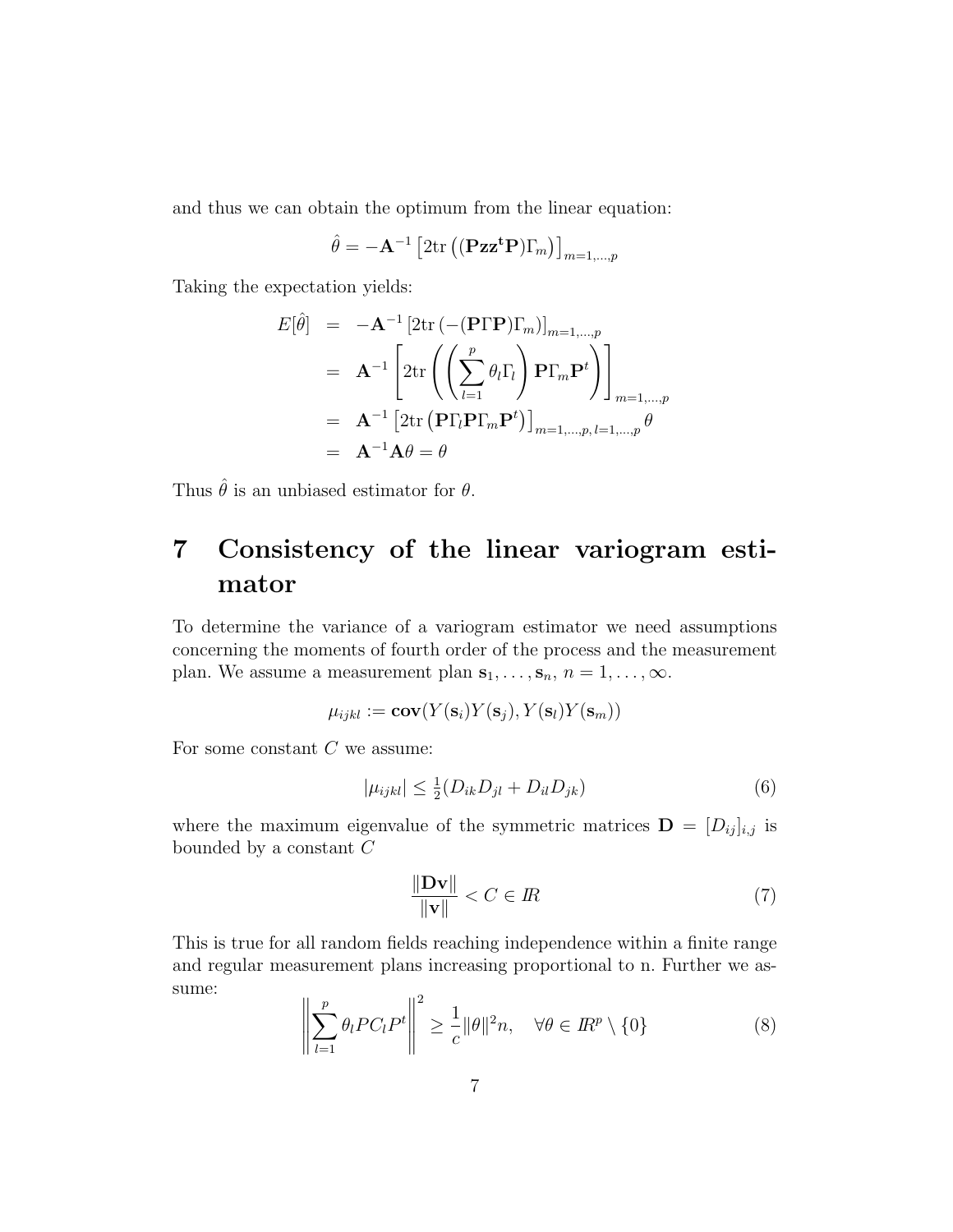and thus we can obtain the optimum from the linear equation:

$$
\hat{\theta} = -\mathbf{A}^{-1} \left[ 2 \text{tr} \left( (\mathbf{P} \mathbf{z} \mathbf{z}^{\mathbf{t}} \mathbf{P}) \Gamma_m \right) \right]_{m=1,\dots,p}
$$

Taking the expectation yields:

$$
E[\hat{\theta}] = -\mathbf{A}^{-1} \left[ 2 \text{tr} \left( -(\mathbf{P} \Gamma \mathbf{P}) \Gamma_m \right) \right]_{m=1,...,p}
$$
  
=  $\mathbf{A}^{-1} \left[ 2 \text{tr} \left( \left( \sum_{l=1}^p \theta_l \Gamma_l \right) \mathbf{P} \Gamma_m \mathbf{P}^t \right) \right]_{m=1,...,p}$   
=  $\mathbf{A}^{-1} \left[ 2 \text{tr} \left( \mathbf{P} \Gamma_l \mathbf{P} \Gamma_m \mathbf{P}^t \right) \right]_{m=1,...,p, l=1,...,p} \theta$   
=  $\mathbf{A}^{-1} \mathbf{A} \theta = \theta$ 

Thus  $\hat{\theta}$  is an unbiased estimator for  $\theta$ .

## 7 Consistency of the linear variogram estimator

To determine the variance of a variogram estimator we need assumptions concerning the moments of fourth order of the process and the measurement plan. We assume a measurement plan  $s_1, \ldots, s_n$ ,  $n = 1, \ldots, \infty$ .

$$
\mu_{ijkl} := \mathbf{cov}(Y(\mathbf{s}_i)Y(\mathbf{s}_j), Y(\mathbf{s}_l)Y(\mathbf{s}_m))
$$

For some constant  $C$  we assume:

$$
|\mu_{ijkl}| \leq \frac{1}{2}(D_{ik}D_{jl} + D_{il}D_{jk})
$$
\n(6)

where the maximum eigenvalue of the symmetric matrices  $\mathbf{D} = [D_{ij}]_{i,j}$  is bounded by a constant C

$$
\frac{\|\mathbf{D}\mathbf{v}\|}{\|\mathbf{v}\|} < C \in \mathbb{R} \tag{7}
$$

This is true for all random fields reaching independence within a finite range and regular measurement plans increasing proportional to n. Further we assume:

$$
\left\| \sum_{l=1}^{p} \theta_l P C_l P^t \right\|^2 \ge \frac{1}{c} \|\theta\|^2 n, \quad \forall \theta \in I\!\!R^p \setminus \{0\} \tag{8}
$$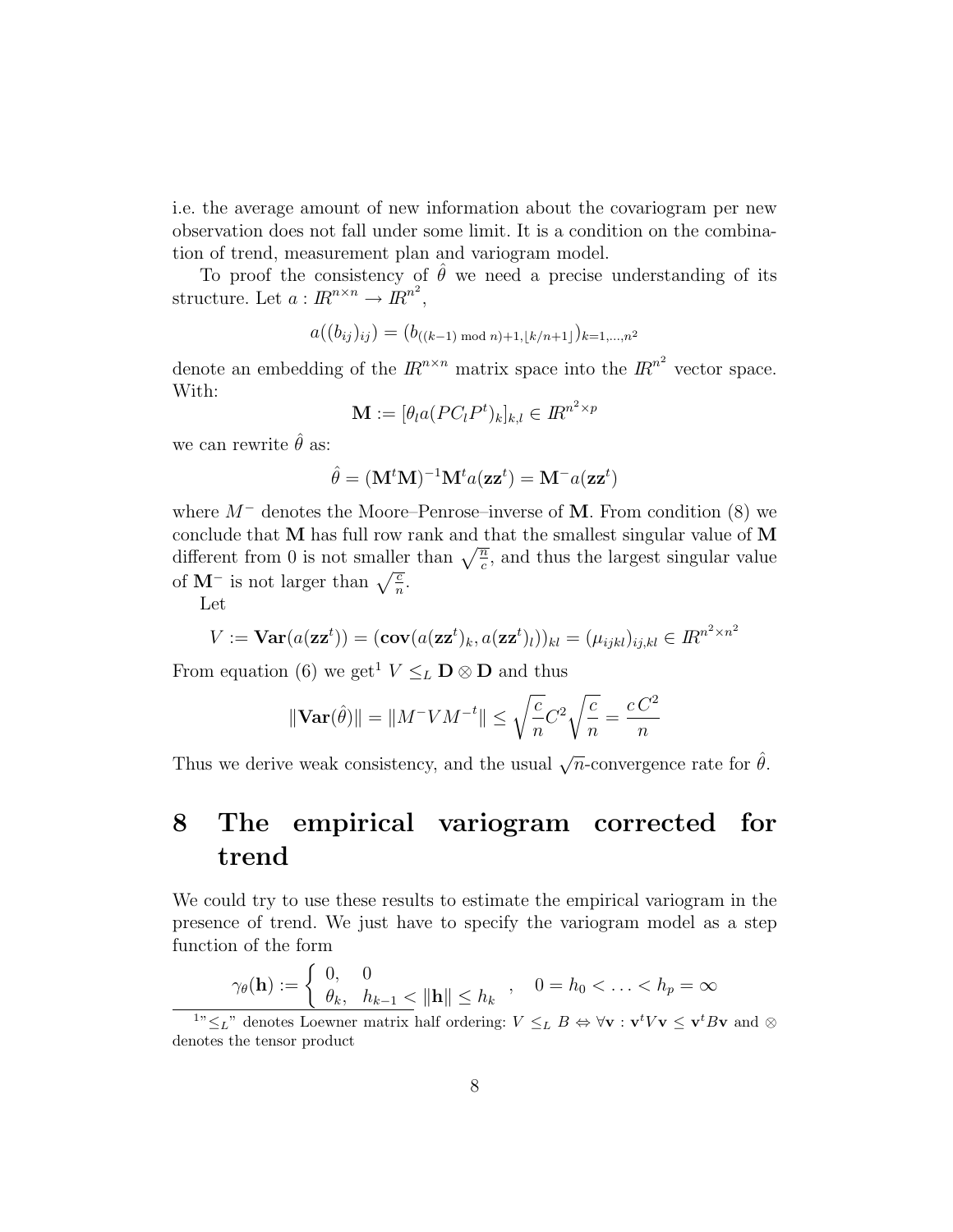i.e. the average amount of new information about the covariogram per new observation does not fall under some limit. It is a condition on the combination of trend, measurement plan and variogram model.

To proof the consistency of  $\hat{\theta}$  we need a precise understanding of its structure. Let  $a: I\!R^{n \times n} \to I\!R^{n^2}$ ,

$$
a((b_{ij})_{ij}) = (b_{((k-1) \bmod n)+1, \lfloor k/n+1 \rfloor})_{k=1,\dots,n^2}
$$

denote an embedding of the  $\mathbb{R}^{n \times n}$  matrix space into the  $\mathbb{R}^{n^2}$  vector space. With:

$$
\mathbf{M} := [\theta_l a (PC_l P^t)_k]_{k,l} \in I\!\!R^{n^2 \times p}
$$

we can rewrite  $\hat{\theta}$  as:

$$
\hat{\theta} = (\mathbf{M}^t \mathbf{M})^{-1} \mathbf{M}^t a(\mathbf{z} \mathbf{z}^t) = \mathbf{M}^- a(\mathbf{z} \mathbf{z}^t)
$$

where  $M^-$  denotes the Moore–Penrose–inverse of M. From condition (8) we conclude that  **has full row rank and that the smallest singular value of**  $**M**$ different from 0 is not smaller than  $\sqrt{\frac{n}{c}}$ , and thus the largest singular value of  $M^-$  is not larger than  $\sqrt{\frac{c}{n}}$ .

Let

$$
V := \mathbf{Var}(a(\mathbf{z}\mathbf{z}^t)) = (\mathbf{cov}(a(\mathbf{z}\mathbf{z}^t)_k, a(\mathbf{z}\mathbf{z}^t)_l))_{kl} = (\mu_{ijkl})_{ij,kl} \in \mathbb{R}^{n^2 \times n^2}
$$

From equation (6) we get<sup>1</sup>  $V \leq_L \mathbf{D} \otimes \mathbf{D}$  and thus

$$
\|\mathbf{Var}(\hat{\theta})\| = \|M^{-}VM^{-t}\| \le \sqrt{\frac{c}{n}}C^2\sqrt{\frac{c}{n}} = \frac{cC^2}{n}
$$

Thus we derive weak consistency, and the usual  $\sqrt{n}$ -convergence rate for  $\hat{\theta}$ .

### 8 The empirical variogram corrected for trend

We could try to use these results to estimate the empirical variogram in the presence of trend. We just have to specify the variogram model as a step function of the form

$$
\gamma_{\theta}(\mathbf{h}) := \begin{cases} 0, & 0 \\ \theta_k, & h_{k-1} \leq \|\mathbf{h}\| \leq h_k \end{cases}, \quad 0 = h_0 < \ldots < h_p = \infty
$$

<sup>&</sup>lt;sup>1</sup>" $\leq_L$ " denotes Loewner matrix half ordering:  $V \leq_L B \Leftrightarrow \forall v : v^t V v \leq v^t B v$  and  $\otimes$ denotes the tensor product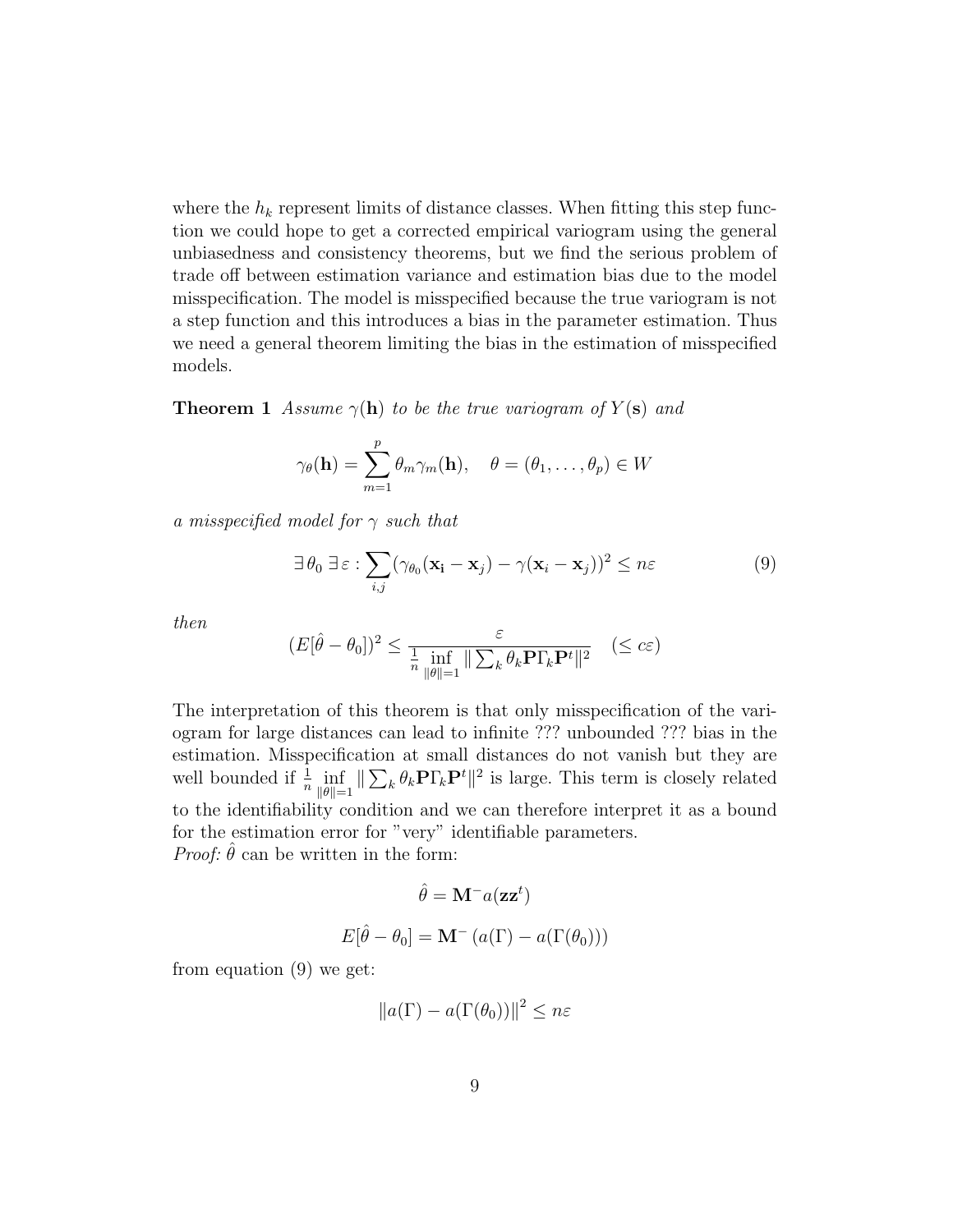where the  $h_k$  represent limits of distance classes. When fitting this step function we could hope to get a corrected empirical variogram using the general unbiasedness and consistency theorems, but we find the serious problem of trade off between estimation variance and estimation bias due to the model misspecification. The model is misspecified because the true variogram is not a step function and this introduces a bias in the parameter estimation. Thus we need a general theorem limiting the bias in the estimation of misspecified models.

**Theorem 1** Assume  $\gamma(\mathbf{h})$  to be the true variogram of  $Y(\mathbf{s})$  and

$$
\gamma_{\theta}(\mathbf{h}) = \sum_{m=1}^{p} \theta_{m} \gamma_{m}(\mathbf{h}), \quad \theta = (\theta_{1}, \dots, \theta_{p}) \in W
$$

a misspecified model for  $\gamma$  such that

$$
\exists \theta_0 \,\exists \,\varepsilon : \sum_{i,j} (\gamma_{\theta_0}(\mathbf{x}_i - \mathbf{x}_j) - \gamma(\mathbf{x}_i - \mathbf{x}_j))^2 \le n\varepsilon \tag{9}
$$

then

$$
(E[\hat{\theta} - \theta_0])^2 \le \frac{\varepsilon}{\frac{1}{n} \inf_{\|\theta\| = 1} \|\sum_k \theta_k \mathbf{P} \Gamma_k \mathbf{P}^t\|^2} \quad (\le c\varepsilon)
$$

The interpretation of this theorem is that only misspecification of the variogram for large distances can lead to infinite ??? unbounded ??? bias in the estimation. Misspecification at small distances do not vanish but they are well bounded if  $\frac{1}{n} \inf_{\|\theta\|=1}$  $\|\sum_k \theta_k \mathbf{P} \Gamma_k \mathbf{P}^t\|^2$  is large. This term is closely related to the identifiability condition and we can therefore interpret it as a bound for the estimation error for "very" identifiable parameters. *Proof:*  $\hat{\theta}$  can be written in the form:

$$
\hat{\theta} = \mathbf{M}^- a(\mathbf{z} \mathbf{z}^t)
$$

$$
E[\hat{\theta} - \theta_0] = \mathbf{M}^- (a(\Gamma) - a(\Gamma(\theta_0)))
$$

from equation (9) we get:

$$
||a(\Gamma) - a(\Gamma(\theta_0))||^2 \le n\varepsilon
$$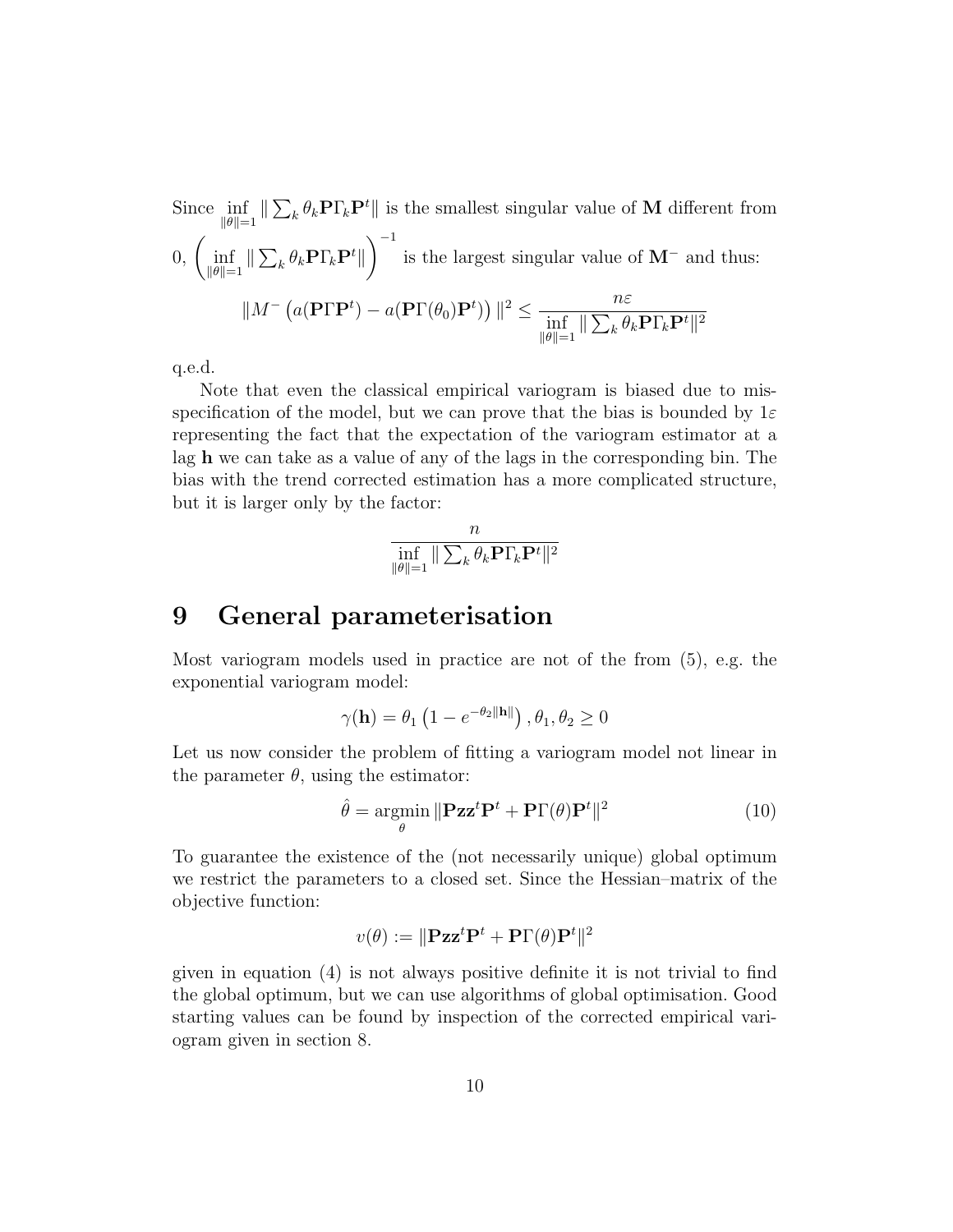Since  $\inf_{\|\theta\|=1}$  $\|\sum_k \theta_k \mathbf{P} \Gamma_k \mathbf{P}^t\|$  is the smallest singular value of **M** different from  $0, \ \left(\inf_{\|\theta\|=1}$  $\parallel \sum_k \theta_k \mathbf{P} \Gamma_k \mathbf{P}^t \parallel$  $\int^{-1}$  is the largest singular value of M<sup>-</sup> and thus:  $\|M^{-}\left(a(\mathbf{P}\Gamma\mathbf{P}^{t})-a(\mathbf{P}\Gamma(\theta_{0})\mathbf{P}^{t})\right)\|^{2} \leq \frac{n\varepsilon}{\|x\| \|\mathbf{P}\|^{2} n}$  $\inf_{\|\theta\|=1}$  $\|\sum_k \theta_k \mathbf{P}\Gamma_k\mathbf{P}^t\|^2$ 

q.e.d.

Note that even the classical empirical variogram is biased due to misspecification of the model, but we can prove that the bias is bounded by  $1\varepsilon$ representing the fact that the expectation of the variogram estimator at a lag h we can take as a value of any of the lags in the corresponding bin. The bias with the trend corrected estimation has a more complicated structure, but it is larger only by the factor:

$$
\inf_{\|\theta\|=1} \|\sum_{k} \theta_k \mathbf{P} \Gamma_k \mathbf{P}^t\|^2
$$

### 9 General parameterisation

Most variogram models used in practice are not of the from (5), e.g. the exponential variogram model:

$$
\gamma(\mathbf{h}) = \theta_1 \left( 1 - e^{-\theta_2 \|\mathbf{h}\|} \right), \theta_1, \theta_2 \ge 0
$$

Let us now consider the problem of fitting a variogram model not linear in the parameter  $\theta$ , using the estimator:

$$
\hat{\theta} = \underset{\theta}{\operatorname{argmin}} \|\mathbf{P} \mathbf{z} \mathbf{z}^t \mathbf{P}^t + \mathbf{P} \Gamma(\theta) \mathbf{P}^t\|^2 \tag{10}
$$

To guarantee the existence of the (not necessarily unique) global optimum we restrict the parameters to a closed set. Since the Hessian–matrix of the objective function:

$$
v(\theta) := \|\mathbf{P} \mathbf{z} \mathbf{z}^t \mathbf{P}^t + \mathbf{P} \Gamma(\theta) \mathbf{P}^t\|^2
$$

given in equation (4) is not always positive definite it is not trivial to find the global optimum, but we can use algorithms of global optimisation. Good starting values can be found by inspection of the corrected empirical variogram given in section 8.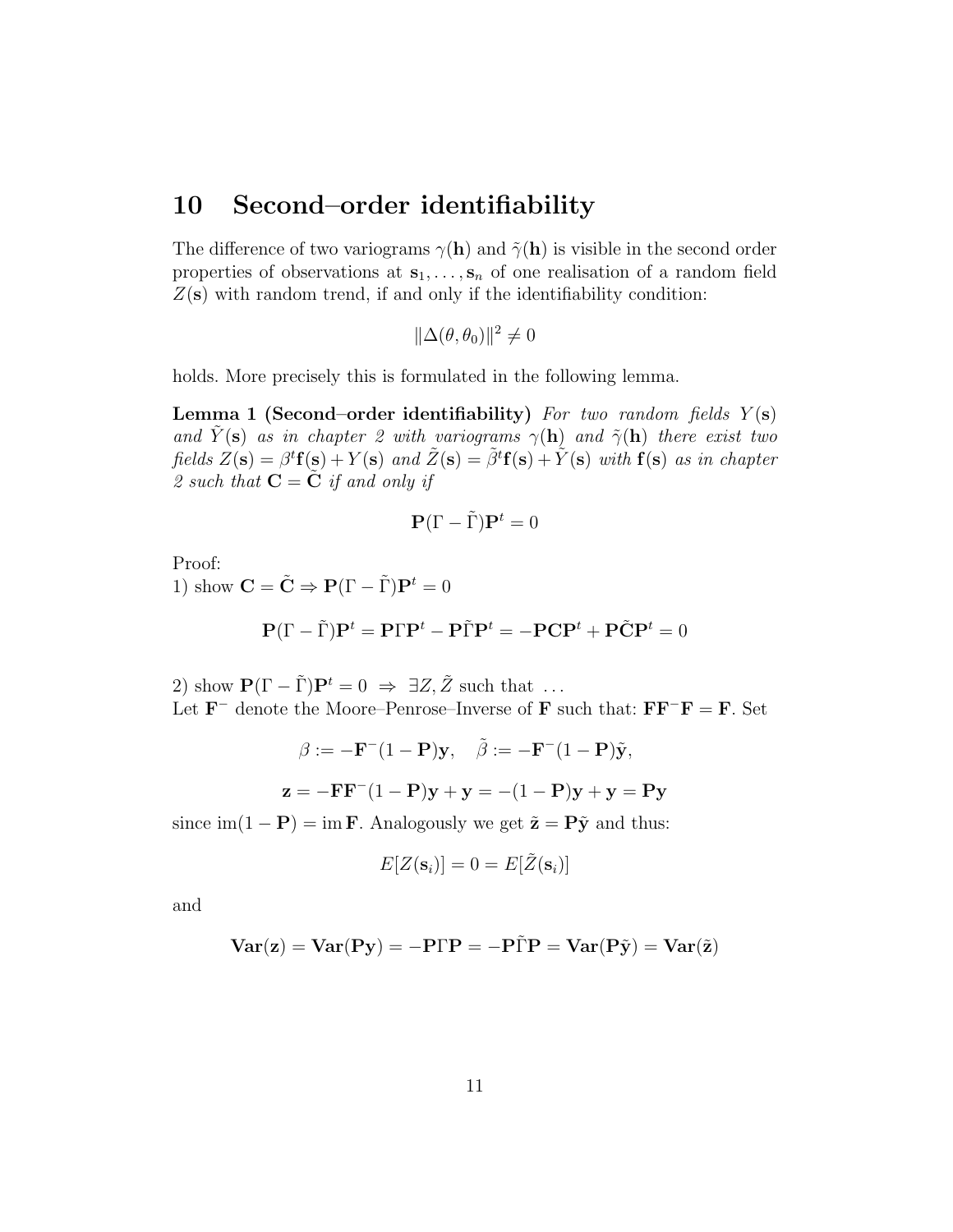### 10 Second–order identifiability

The difference of two variograms  $\gamma(\mathbf{h})$  and  $\tilde{\gamma}(\mathbf{h})$  is visible in the second order properties of observations at  $s_1, \ldots, s_n$  of one realisation of a random field  $Z(\mathbf{s})$  with random trend, if and only if the identifiability condition:

$$
\|\Delta(\theta,\theta_0)\|^2\neq 0
$$

holds. More precisely this is formulated in the following lemma.

**Lemma 1 (Second–order identifiability)** For two random fields  $Y(\mathbf{s})$ and  $\tilde{Y}(\mathbf{s})$  as in chapter 2 with variograms  $\gamma(\mathbf{h})$  and  $\tilde{\gamma}(\mathbf{h})$  there exist two fields  $Z(\mathbf{s}) = \beta^t \mathbf{f}(\mathbf{s}) + Y(\mathbf{s})$  and  $\tilde{Z}(\mathbf{s}) = \tilde{\beta}^t \mathbf{f}(\mathbf{s}) + \tilde{Y}(\mathbf{s})$  with  $\mathbf{f}(\mathbf{s})$  as in chapter 2 such that  $C = \dot{C}$  if and only if

$$
\mathbf{P}(\Gamma - \tilde{\Gamma})\mathbf{P}^t = 0
$$

Proof:

1) show  $\mathbf{C} = \tilde{\mathbf{C}} \Rightarrow \mathbf{P}(\Gamma - \tilde{\Gamma}) \mathbf{P}^t = 0$ 

$$
\mathbf{P}(\Gamma - \tilde{\Gamma})\mathbf{P}^t = \mathbf{P}\Gamma\mathbf{P}^t - \mathbf{P}\tilde{\Gamma}\mathbf{P}^t = -\mathbf{P}\mathbf{C}\mathbf{P}^t + \mathbf{P}\tilde{\mathbf{C}}\mathbf{P}^t = 0
$$

2) show  $\mathbf{P}(\Gamma - \tilde{\Gamma})\mathbf{P}^t = 0 \Rightarrow \exists Z, \tilde{Z}$  such that ... Let  $\mathbf{F}^-$  denote the Moore–Penrose–Inverse of F such that:  $\mathbf{F} \mathbf{F}^- \mathbf{F} = \mathbf{F}$ . Set

$$
\beta := -\mathbf{F}^{-}(1 - \mathbf{P})\mathbf{y}, \quad \tilde{\beta} := -\mathbf{F}^{-}(1 - \mathbf{P})\tilde{\mathbf{y}},
$$
  
 $\mathbf{z} = -\mathbf{F}\mathbf{F}^{-}(1 - \mathbf{P})\mathbf{y} + \mathbf{y} = -(1 - \mathbf{P})\mathbf{y} + \mathbf{y} = \mathbf{P}\mathbf{y}$ 

since  $\text{im}(1 - \mathbf{P}) = \text{im } \mathbf{F}$ . Analogously we get  $\tilde{\mathbf{z}} = \mathbf{P}\tilde{\mathbf{y}}$  and thus:

$$
E[Z(\mathbf{s}_i)] = 0 = E[\tilde{Z}(\mathbf{s}_i)]
$$

and

$$
\mathbf{Var}(\mathbf{z})=\mathbf{Var}(\mathbf{P}\mathbf{y})=-\mathbf{P}\Gamma\mathbf{P}=-\mathbf{P}\tilde{\Gamma}\mathbf{P}=\mathbf{Var}(\mathbf{P}\tilde{\mathbf{y}})=\mathbf{Var}(\tilde{\mathbf{z}})
$$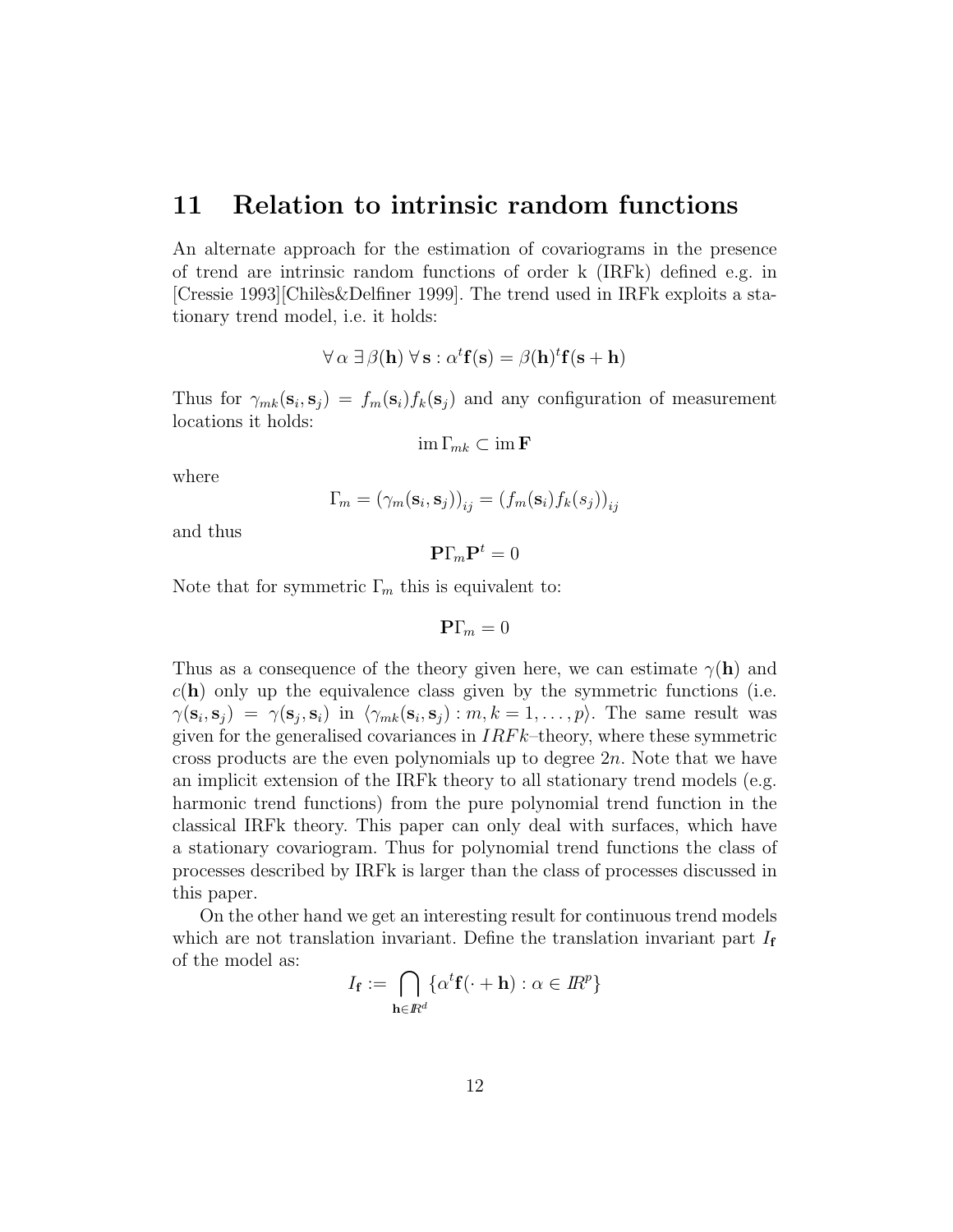#### 11 Relation to intrinsic random functions

An alternate approach for the estimation of covariograms in the presence of trend are intrinsic random functions of order k (IRFk) defined e.g. in [Cressie 1993][Chiles&Delfiner 1999]. The trend used in IRFk exploits a stationary trend model, i.e. it holds:

$$
\forall \alpha \ \exists \ \beta(\mathbf{h}) \ \forall \ \mathbf{s} : \alpha^t \mathbf{f}(\mathbf{s}) = \beta(\mathbf{h})^t \mathbf{f}(\mathbf{s} + \mathbf{h})
$$

Thus for  $\gamma_{mk}(\mathbf{s}_i, \mathbf{s}_j) = f_m(\mathbf{s}_i) f_k(\mathbf{s}_j)$  and any configuration of measurement locations it holds:

$$
\operatorname{im} \Gamma_{mk} \subset \operatorname{im} \mathbf{F}
$$

where

$$
\Gamma_m = \left(\gamma_m(\mathbf{s}_i, \mathbf{s}_j)\right)_{ij} = \left(f_m(\mathbf{s}_i) f_k(s_j)\right)_{ij}
$$

and thus

 $\mathbf{P}\Gamma_m\mathbf{P}^t=0$ 

Note that for symmetric  $\Gamma_m$  this is equivalent to:

 $\mathbf{P}\Gamma_m = 0$ 

Thus as a consequence of the theory given here, we can estimate  $\gamma(\mathbf{h})$  and  $c(\mathbf{h})$  only up the equivalence class given by the symmetric functions (i.e.  $\gamma(\mathbf{s}_i, \mathbf{s}_j) = \gamma(\mathbf{s}_j, \mathbf{s}_i)$  in  $\langle \gamma_{mk}(\mathbf{s}_i, \mathbf{s}_j) : m, k = 1, \dots, p \rangle$ . The same result was given for the generalised covariances in  $IRFk$ –theory, where these symmetric cross products are the even polynomials up to degree  $2n$ . Note that we have an implicit extension of the IRFk theory to all stationary trend models (e.g. harmonic trend functions) from the pure polynomial trend function in the classical IRFk theory. This paper can only deal with surfaces, which have a stationary covariogram. Thus for polynomial trend functions the class of processes described by IRFk is larger than the class of processes discussed in this paper.

On the other hand we get an interesting result for continuous trend models which are not translation invariant. Define the translation invariant part  $I_f$ of the model as:

$$
I_{\mathbf{f}} := \bigcap_{\mathbf{h} \in \mathbb{R}^d} \{ \alpha^t \mathbf{f}(\cdot + \mathbf{h}) : \alpha \in \mathbb{R}^p \}
$$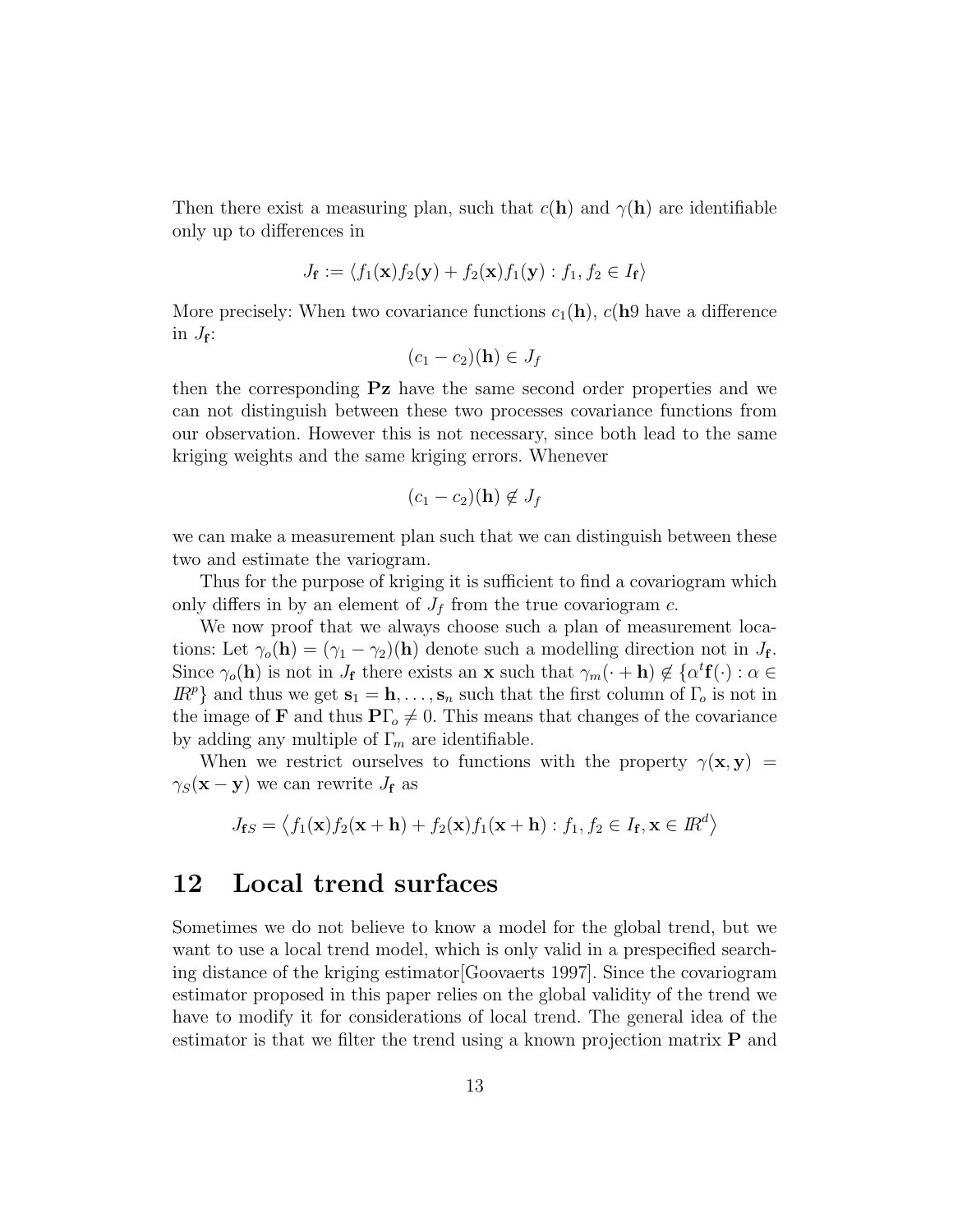Then there exist a measuring plan, such that  $c(\mathbf{h})$  and  $\gamma(\mathbf{h})$  are identifiable only up to differences in

$$
J_{\mathbf{f}} := \langle f_1(\mathbf{x}) f_2(\mathbf{y}) + f_2(\mathbf{x}) f_1(\mathbf{y}) : f_1, f_2 \in I_{\mathbf{f}} \rangle
$$

More precisely: When two covariance functions  $c_1(\mathbf{h})$ ,  $c(\mathbf{h})$  have a difference in  $J_{\mathbf{f}}$ :

$$
(c_1-c_2)(\mathbf{h}) \in J_f
$$

then the corresponding Pz have the same second order properties and we can not distinguish between these two processes covariance functions from our observation. However this is not necessary, since both lead to the same kriging weights and the same kriging errors. Whenever

$$
(c_1-c_2)(\mathbf{h}) \notin J_f
$$

we can make a measurement plan such that we can distinguish between these two and estimate the variogram.

Thus for the purpose of kriging it is sufficient to find a covariogram which only differs in by an element of  $J_f$  from the true covariogram c.

We now proof that we always choose such a plan of measurement locations: Let  $\gamma_o(\mathbf{h}) = (\gamma_1 - \gamma_2)(\mathbf{h})$  denote such a modelling direction not in  $J_{\mathbf{f}}$ . Since  $\gamma_o(\mathbf{h})$  is not in  $J_{\mathbf{f}}$  there exists an **x** such that  $\gamma_m(\cdot + \mathbf{h}) \notin {\alpha}^t \mathbf{f}(\cdot) : \alpha \in$  $\mathbb{R}^p$  and thus we get  $\mathbf{s}_1 = \mathbf{h}, \ldots, \mathbf{s}_n$  such that the first column of  $\Gamma_o$  is not in the image of **F** and thus  $\mathbf{P}\Gamma_o \neq 0$ . This means that changes of the covariance by adding any multiple of  $\Gamma_m$  are identifiable.

When we restrict ourselves to functions with the property  $\gamma(\mathbf{x}, \mathbf{y}) =$  $\gamma_S(\mathbf{x} - \mathbf{y})$  we can rewrite  $J_f$  as

$$
J_{\mathbf{f}S} = \langle f_1(\mathbf{x}) f_2(\mathbf{x} + \mathbf{h}) + f_2(\mathbf{x}) f_1(\mathbf{x} + \mathbf{h}) : f_1, f_2 \in I_{\mathbf{f}}, \mathbf{x} \in I\mathbb{R}^d \rangle
$$

### 12 Local trend surfaces

Sometimes we do not believe to know a model for the global trend, but we want to use a local trend model, which is only valid in a prespecified searching distance of the kriging estimator[Goovaerts 1997]. Since the covariogram estimator proposed in this paper relies on the global validity of the trend we have to modify it for considerations of local trend. The general idea of the estimator is that we filter the trend using a known projection matrix  $P$  and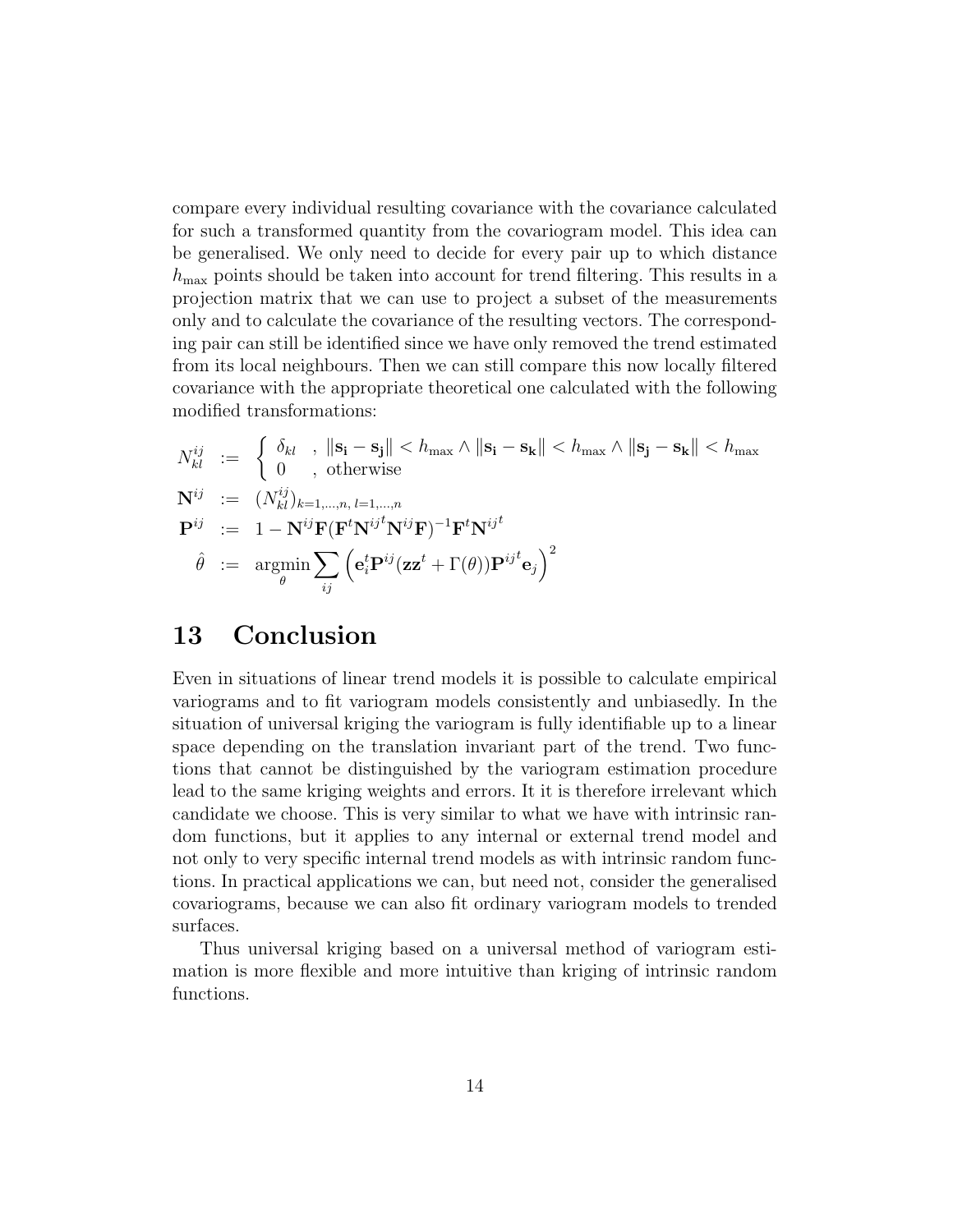compare every individual resulting covariance with the covariance calculated for such a transformed quantity from the covariogram model. This idea can be generalised. We only need to decide for every pair up to which distance  $h_{\text{max}}$  points should be taken into account for trend filtering. This results in a projection matrix that we can use to project a subset of the measurements only and to calculate the covariance of the resulting vectors. The corresponding pair can still be identified since we have only removed the trend estimated from its local neighbours. Then we can still compare this now locally filtered covariance with the appropriate theoretical one calculated with the following modified transformations:

$$
N_{kl}^{ij} := \begin{cases} \delta_{kl} , & \|\mathbf{s}_i - \mathbf{s}_j\| < h_{\text{max}} \land \|\mathbf{s}_i - \mathbf{s}_k\| < h_{\text{max}} \land \|\mathbf{s}_j - \mathbf{s}_k\| < h_{\text{max}} \\ 0 , & \text{otherwise} \end{cases}
$$
\n
$$
\mathbf{N}^{ij} := (N_{kl}^{ij})_{k=1,\dots,n} \quad \mathbf{P}^{ij} := 1 - \mathbf{N}^{ij} \mathbf{F} (\mathbf{F}^t \mathbf{N}^{ij} \mathbf{F})^{-1} \mathbf{F}^t \mathbf{N}^{ij} \quad \hat{\theta} := \operatorname*{argmin}_{\theta} \sum_{ij} \left( \mathbf{e}_i^t \mathbf{P}^{ij} (\mathbf{z} \mathbf{z}^t + \Gamma(\theta)) \mathbf{P}^{ij} \mathbf{e}_j \right)^2
$$

### 13 Conclusion

Even in situations of linear trend models it is possible to calculate empirical variograms and to fit variogram models consistently and unbiasedly. In the situation of universal kriging the variogram is fully identifiable up to a linear space depending on the translation invariant part of the trend. Two functions that cannot be distinguished by the variogram estimation procedure lead to the same kriging weights and errors. It it is therefore irrelevant which candidate we choose. This is very similar to what we have with intrinsic random functions, but it applies to any internal or external trend model and not only to very specific internal trend models as with intrinsic random functions. In practical applications we can, but need not, consider the generalised covariograms, because we can also fit ordinary variogram models to trended surfaces.

Thus universal kriging based on a universal method of variogram estimation is more flexible and more intuitive than kriging of intrinsic random functions.